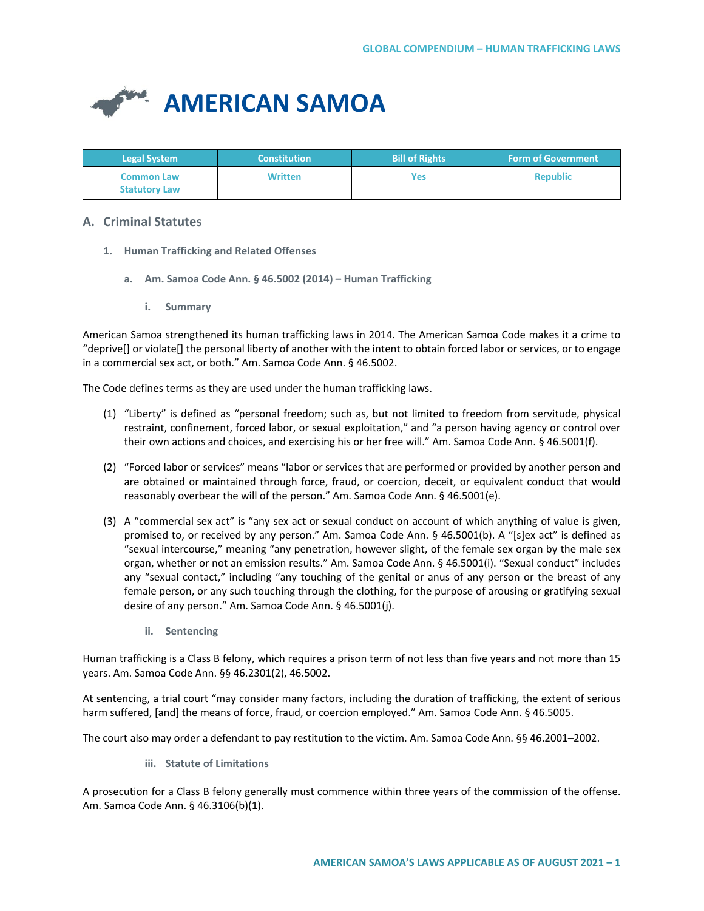

| <b>Legal System</b>                       | <b>Constitution</b> | <b>Bill of Rights</b> | <b>Form of Government</b> |
|-------------------------------------------|---------------------|-----------------------|---------------------------|
| <b>Common Law</b><br><b>Statutory Law</b> | <b>Written</b>      | Yes                   | <b>Republic</b>           |

# **A. Criminal Statutes**

- **1. Human Trafficking and Related Offenses**
	- **a. Am. Samoa Code Ann. § 46.5002 (2014) – Human Trafficking**
		- **i. Summary**

American Samoa strengthened its human trafficking laws in 2014. The American Samoa Code makes it a crime to "deprive[] or violate[] the personal liberty of another with the intent to obtain forced labor or services, or to engage in a commercial sex act, or both." Am. Samoa Code Ann. § 46.5002.

The Code defines terms as they are used under the human trafficking laws.

- (1) "Liberty" is defined as "personal freedom; such as, but not limited to freedom from servitude, physical restraint, confinement, forced labor, or sexual exploitation," and "a person having agency or control over their own actions and choices, and exercising his or her free will." Am. Samoa Code Ann. § 46.5001(f).
- (2) "Forced labor or services" means "labor or services that are performed or provided by another person and are obtained or maintained through force, fraud, or coercion, deceit, or equivalent conduct that would reasonably overbear the will of the person." Am. Samoa Code Ann. § 46.5001(e).
- (3) A "commercial sex act" is "any sex act or sexual conduct on account of which anything of value is given, promised to, or received by any person." Am. Samoa Code Ann. § 46.5001(b). A "[s]ex act" is defined as "sexual intercourse," meaning "any penetration, however slight, of the female sex organ by the male sex organ, whether or not an emission results." Am. Samoa Code Ann. § 46.5001(i). "Sexual conduct" includes any "sexual contact," including "any touching of the genital or anus of any person or the breast of any female person, or any such touching through the clothing, for the purpose of arousing or gratifying sexual desire of any person." Am. Samoa Code Ann. § 46.5001(j).
	- **ii. Sentencing**

Human trafficking is a Class B felony, which requires a prison term of not less than five years and not more than 15 years. Am. Samoa Code Ann. §§ 46.2301(2), 46.5002.

At sentencing, a trial court "may consider many factors, including the duration of trafficking, the extent of serious harm suffered, [and] the means of force, fraud, or coercion employed." Am. Samoa Code Ann. § 46.5005.

The court also may order a defendant to pay restitution to the victim. Am. Samoa Code Ann. §§ 46.2001–2002.

**iii. Statute of Limitations**

A prosecution for a Class B felony generally must commence within three years of the commission of the offense. Am. Samoa Code Ann. § 46.3106(b)(1).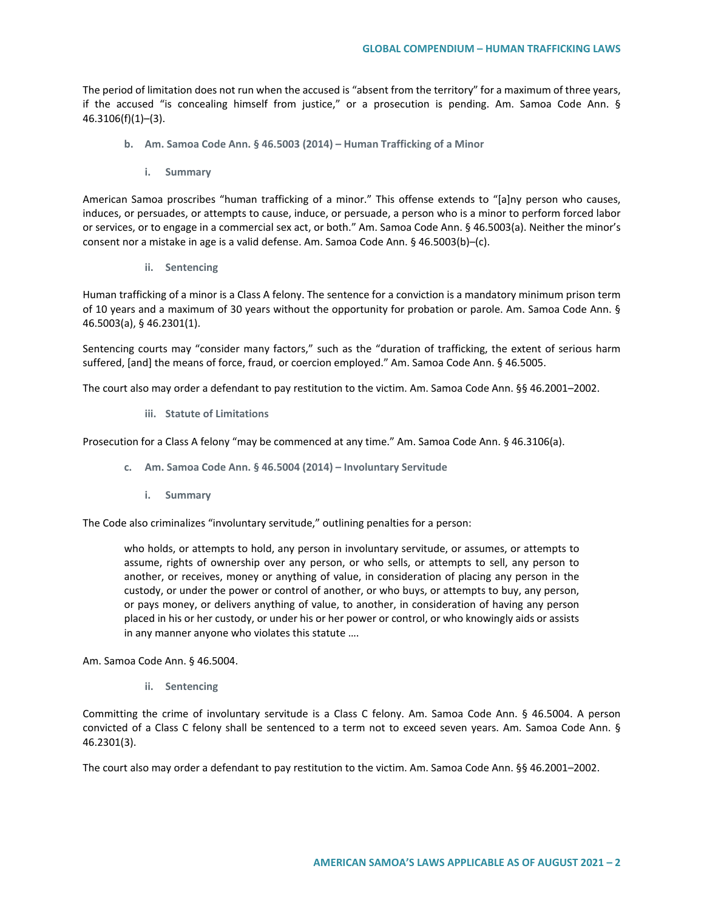The period of limitation does not run when the accused is "absent from the territory" for a maximum of three years, if the accused "is concealing himself from justice," or a prosecution is pending. Am. Samoa Code Ann. § 46.3106(f)(1)–(3).

- **b. Am. Samoa Code Ann. § 46.5003 (2014) – Human Trafficking of a Minor**
	- **i. Summary**

American Samoa proscribes "human trafficking of a minor." This offense extends to "[a]ny person who causes, induces, or persuades, or attempts to cause, induce, or persuade, a person who is a minor to perform forced labor or services, or to engage in a commercial sex act, or both." Am. Samoa Code Ann. § 46.5003(a). Neither the minor's consent nor a mistake in age is a valid defense. Am. Samoa Code Ann. § 46.5003(b)–(c).

**ii. Sentencing**

Human trafficking of a minor is a Class A felony. The sentence for a conviction is a mandatory minimum prison term of 10 years and a maximum of 30 years without the opportunity for probation or parole. Am. Samoa Code Ann. § 46.5003(a), § 46.2301(1).

Sentencing courts may "consider many factors," such as the "duration of trafficking, the extent of serious harm suffered, [and] the means of force, fraud, or coercion employed." Am. Samoa Code Ann. § 46.5005.

The court also may order a defendant to pay restitution to the victim. Am. Samoa Code Ann. §§ 46.2001–2002.

**iii. Statute of Limitations**

Prosecution for a Class A felony "may be commenced at any time." Am. Samoa Code Ann. § 46.3106(a).

- **c. Am. Samoa Code Ann. § 46.5004 (2014) – Involuntary Servitude**
	- **i. Summary**

The Code also criminalizes "involuntary servitude," outlining penalties for a person:

who holds, or attempts to hold, any person in involuntary servitude, or assumes, or attempts to assume, rights of ownership over any person, or who sells, or attempts to sell, any person to another, or receives, money or anything of value, in consideration of placing any person in the custody, or under the power or control of another, or who buys, or attempts to buy, any person, or pays money, or delivers anything of value, to another, in consideration of having any person placed in his or her custody, or under his or her power or control, or who knowingly aids or assists in any manner anyone who violates this statute ….

Am. Samoa Code Ann. § 46.5004.

**ii. Sentencing**

Committing the crime of involuntary servitude is a Class C felony. Am. Samoa Code Ann. § 46.5004. A person convicted of a Class C felony shall be sentenced to a term not to exceed seven years. Am. Samoa Code Ann. § 46.2301(3).

The court also may order a defendant to pay restitution to the victim. Am. Samoa Code Ann. §§ 46.2001–2002.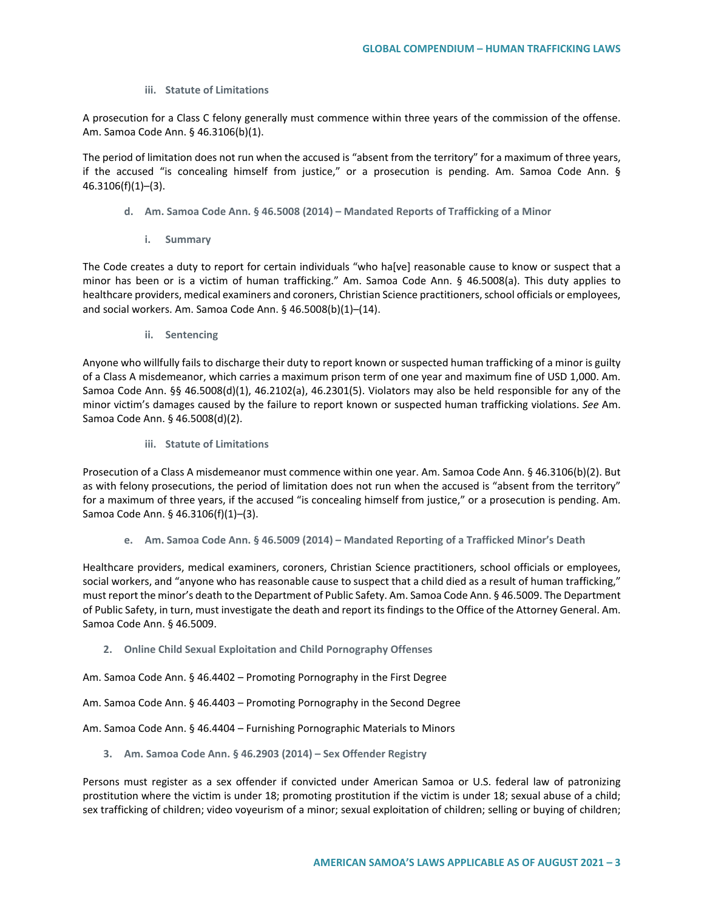### **iii. Statute of Limitations**

A prosecution for a Class C felony generally must commence within three years of the commission of the offense. Am. Samoa Code Ann. § 46.3106(b)(1).

The period of limitation does not run when the accused is "absent from the territory" for a maximum of three years, if the accused "is concealing himself from justice," or a prosecution is pending. Am. Samoa Code Ann. § 46.3106(f)(1)–(3).

- **d. Am. Samoa Code Ann. § 46.5008 (2014) – Mandated Reports of Trafficking of a Minor**
	- **i. Summary**

The Code creates a duty to report for certain individuals "who ha[ve] reasonable cause to know or suspect that a minor has been or is a victim of human trafficking." Am. Samoa Code Ann. § 46.5008(a). This duty applies to healthcare providers, medical examiners and coroners, Christian Science practitioners, school officials or employees, and social workers. Am. Samoa Code Ann. § 46.5008(b)(1)–(14).

**ii. Sentencing** 

Anyone who willfully fails to discharge their duty to report known or suspected human trafficking of a minor is guilty of a Class A misdemeanor, which carries a maximum prison term of one year and maximum fine of USD 1,000. Am. Samoa Code Ann. §§ 46.5008(d)(1), 46.2102(a), 46.2301(5). Violators may also be held responsible for any of the minor victim's damages caused by the failure to report known or suspected human trafficking violations. *See* Am. Samoa Code Ann. § 46.5008(d)(2).

**iii. Statute of Limitations** 

Prosecution of a Class A misdemeanor must commence within one year. Am. Samoa Code Ann. § 46.3106(b)(2). But as with felony prosecutions, the period of limitation does not run when the accused is "absent from the territory" for a maximum of three years, if the accused "is concealing himself from justice," or a prosecution is pending. Am. Samoa Code Ann. § 46.3106(f)(1)–(3).

**e. Am. Samoa Code Ann. § 46.5009 (2014) – Mandated Reporting of a Trafficked Minor's Death**

Healthcare providers, medical examiners, coroners, Christian Science practitioners, school officials or employees, social workers, and "anyone who has reasonable cause to suspect that a child died as a result of human trafficking," must report the minor's death to the Department of Public Safety. Am. Samoa Code Ann. § 46.5009. The Department of Public Safety, in turn, must investigate the death and report its findings to the Office of the Attorney General. Am. Samoa Code Ann. § 46.5009.

**2. Online Child Sexual Exploitation and Child Pornography Offenses**

Am. Samoa Code Ann. § 46.4402 – Promoting Pornography in the First Degree

Am. Samoa Code Ann. § 46.4403 – Promoting Pornography in the Second Degree

Am. Samoa Code Ann. § 46.4404 – Furnishing Pornographic Materials to Minors

**3. Am. Samoa Code Ann. § 46.2903 (2014) – Sex Offender Registry**

Persons must register as a sex offender if convicted under American Samoa or U.S. federal law of patronizing prostitution where the victim is under 18; promoting prostitution if the victim is under 18; sexual abuse of a child; sex trafficking of children; video voyeurism of a minor; sexual exploitation of children; selling or buying of children;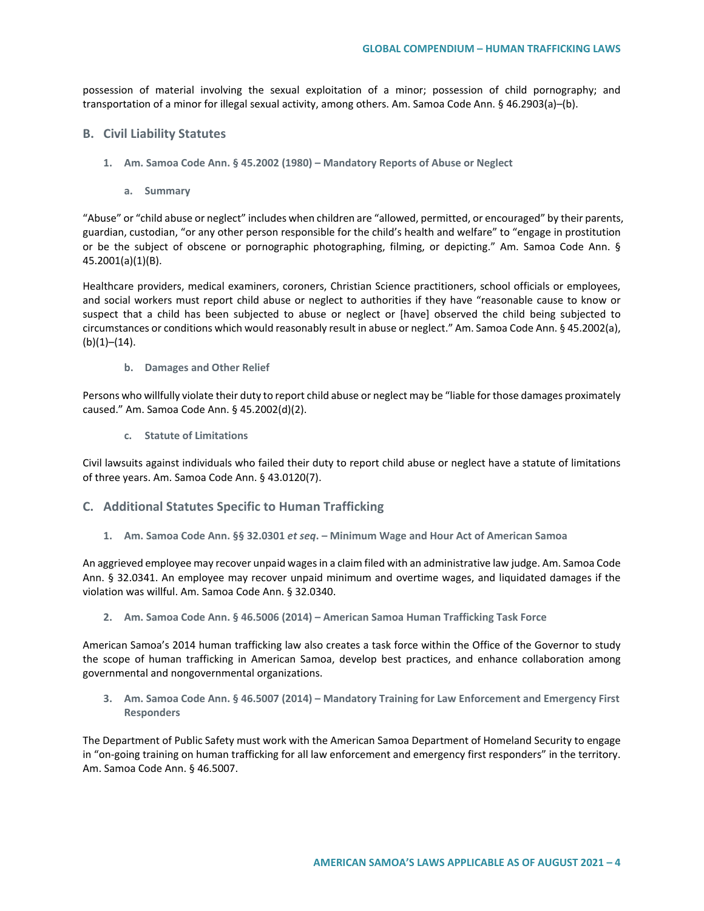possession of material involving the sexual exploitation of a minor; possession of child pornography; and transportation of a minor for illegal sexual activity, among others. Am. Samoa Code Ann. § 46.2903(a)–(b).

### **B. Civil Liability Statutes**

- **1. Am. Samoa Code Ann. § 45.2002 (1980) – Mandatory Reports of Abuse or Neglect**
	- **a. Summary**

"Abuse" or "child abuse or neglect" includes when children are "allowed, permitted, or encouraged" by their parents, guardian, custodian, "or any other person responsible for the child's health and welfare" to "engage in prostitution or be the subject of obscene or pornographic photographing, filming, or depicting." Am. Samoa Code Ann. § 45.2001(a)(1)(B).

Healthcare providers, medical examiners, coroners, Christian Science practitioners, school officials or employees, and social workers must report child abuse or neglect to authorities if they have "reasonable cause to know or suspect that a child has been subjected to abuse or neglect or [have] observed the child being subjected to circumstances or conditions which would reasonably result in abuse or neglect." Am. Samoa Code Ann. § 45.2002(a),  $(b)(1)$ – $(14)$ .

**b. Damages and Other Relief**

Persons who willfully violate their duty to report child abuse or neglect may be "liable for those damages proximately caused." Am. Samoa Code Ann. § 45.2002(d)(2).

**c. Statute of Limitations**

Civil lawsuits against individuals who failed their duty to report child abuse or neglect have a statute of limitations of three years. Am. Samoa Code Ann. § 43.0120(7).

## **C. Additional Statutes Specific to Human Trafficking**

**1. Am. Samoa Code Ann. §§ 32.0301** *et seq***. – Minimum Wage and Hour Act of American Samoa**

An aggrieved employee may recover unpaid wages in a claim filed with an administrative law judge. Am. Samoa Code Ann. § 32.0341. An employee may recover unpaid minimum and overtime wages, and liquidated damages if the violation was willful. Am. Samoa Code Ann. § 32.0340.

**2. Am. Samoa Code Ann. § 46.5006 (2014) – American Samoa Human Trafficking Task Force**

American Samoa's 2014 human trafficking law also creates a task force within the Office of the Governor to study the scope of human trafficking in American Samoa, develop best practices, and enhance collaboration among governmental and nongovernmental organizations.

**3. Am. Samoa Code Ann. § 46.5007 (2014) – Mandatory Training for Law Enforcement and Emergency First Responders**

The Department of Public Safety must work with the American Samoa Department of Homeland Security to engage in "on-going training on human trafficking for all law enforcement and emergency first responders" in the territory. Am. Samoa Code Ann. § 46.5007.